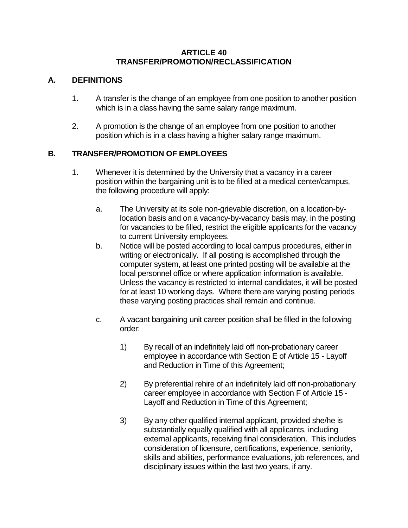#### **ARTICLE 40 TRANSFER/PROMOTION/RECLASSIFICATION**

## **A. DEFINITIONS**

- 1. A transfer is the change of an employee from one position to another position which is in a class having the same salary range maximum.
- 2. A promotion is the change of an employee from one position to another position which is in a class having a higher salary range maximum.

## **B. TRANSFER/PROMOTION OF EMPLOYEES**

- 1. Whenever it is determined by the University that a vacancy in a career position within the bargaining unit is to be filled at a medical center/campus, the following procedure will apply:
	- a. The University at its sole non-grievable discretion, on a location-bylocation basis and on a vacancy-by-vacancy basis may, in the posting for vacancies to be filled, restrict the eligible applicants for the vacancy to current University employees.
	- b. Notice will be posted according to local campus procedures, either in writing or electronically. If all posting is accomplished through the computer system, at least one printed posting will be available at the local personnel office or where application information is available. Unless the vacancy is restricted to internal candidates, it will be posted for at least 10 working days. Where there are varying posting periods these varying posting practices shall remain and continue.
	- c. A vacant bargaining unit career position shall be filled in the following order:
		- 1) By recall of an indefinitely laid off non-probationary career employee in accordance with Section E of Article 15 - Layoff and Reduction in Time of this Agreement;
		- 2) By preferential rehire of an indefinitely laid off non-probationary career employee in accordance with Section F of Article 15 - Layoff and Reduction in Time of this Agreement;
		- 3) By any other qualified internal applicant, provided she/he is substantially equally qualified with all applicants, including external applicants, receiving final consideration. This includes consideration of licensure, certifications, experience, seniority, skills and abilities, performance evaluations, job references, and disciplinary issues within the last two years, if any.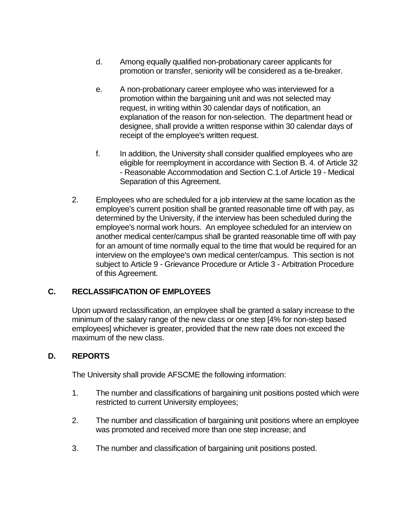- d. Among equally qualified non-probationary career applicants for promotion or transfer, seniority will be considered as a tie-breaker.
- e. A non-probationary career employee who was interviewed for a promotion within the bargaining unit and was not selected may request, in writing within 30 calendar days of notification, an explanation of the reason for non-selection. The department head or designee, shall provide a written response within 30 calendar days of receipt of the employee's written request.
- f. In addition, the University shall consider qualified employees who are eligible for reemployment in accordance with Section B. 4. of Article 32 - Reasonable Accommodation and Section C.1.of Article 19 - Medical Separation of this Agreement.
- 2. Employees who are scheduled for a job interview at the same location as the employee's current position shall be granted reasonable time off with pay, as determined by the University, if the interview has been scheduled during the employee's normal work hours. An employee scheduled for an interview on another medical center/campus shall be granted reasonable time off with pay for an amount of time normally equal to the time that would be required for an interview on the employee's own medical center/campus. This section is not subject to Article 9 - Grievance Procedure or Article 3 - Arbitration Procedure of this Agreement.

# **C. RECLASSIFICATION OF EMPLOYEES**

Upon upward reclassification, an employee shall be granted a salary increase to the minimum of the salary range of the new class or one step [4% for non-step based employees] whichever is greater, provided that the new rate does not exceed the maximum of the new class.

### **D. REPORTS**

The University shall provide AFSCME the following information:

- 1. The number and classifications of bargaining unit positions posted which were restricted to current University employees;
- 2. The number and classification of bargaining unit positions where an employee was promoted and received more than one step increase; and
- 3. The number and classification of bargaining unit positions posted.